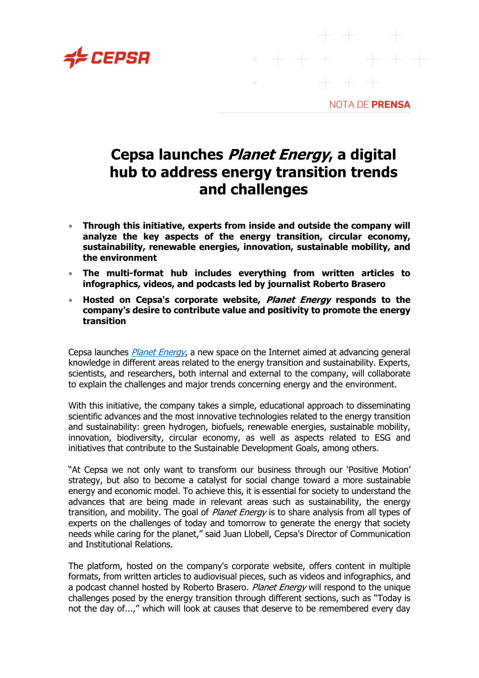

NOTA DE PRENSA

## **Cepsa launches Planet Energy, a digital hub to address energy transition trends and challenges**

- **Through this initiative, experts from inside and outside the company will analyze the key aspects of the energy transition, circular economy, sustainability, renewable energies, innovation, sustainable mobility, and the environment**
- **The multi-format hub includes everything from written articles to infographics, videos, and podcasts led by journalist Roberto Brasero**
- **Hosted on Cepsa's corporate website, Planet Energy responds to the company's desire to contribute value and positivity to promote the energy transition**

Cepsa launches *[Planet Energy](http://www.cepsaplanetenergy.com/)*, a new space on the Internet aimed at advancing general knowledge in different areas related to the energy transition and sustainability. Experts, scientists, and researchers, both internal and external to the company, will collaborate to explain the challenges and major trends concerning energy and the environment.

With this initiative, the company takes a simple, educational approach to disseminating scientific advances and the most innovative technologies related to the energy transition and sustainability: green hydrogen, biofuels, renewable energies, sustainable mobility, innovation, biodiversity, circular economy, as well as aspects related to ESG and initiatives that contribute to the Sustainable Development Goals, among others.

"At Cepsa we not only want to transform our business through our 'Positive Motion' strategy, but also to become a catalyst for social change toward a more sustainable energy and economic model. To achieve this, it is essential for society to understand the advances that are being made in relevant areas such as sustainability, the energy transition, and mobility. The goal of *Planet Energy* is to share analysis from all types of experts on the challenges of today and tomorrow to generate the energy that society needs while caring for the planet," said Juan Llobell, Cepsa's Director of Communication and Institutional Relations.

The platform, hosted on the company's corporate website, offers content in multiple formats, from written articles to audiovisual pieces, such as videos and infographics, and a podcast channel hosted by Roberto Brasero. Planet Energy will respond to the unique challenges posed by the energy transition through different sections, such as "Today is not the day of...," which will look at causes that deserve to be remembered every day